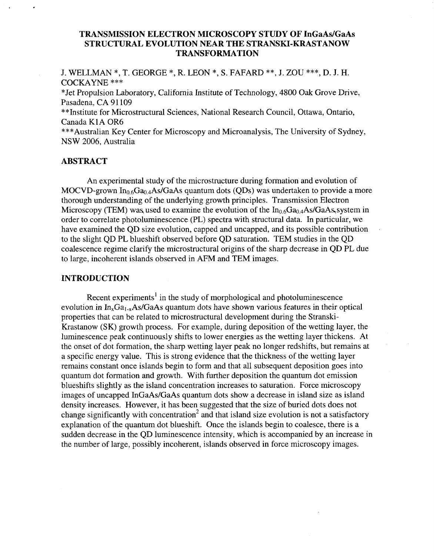# **TRANSMISSION ELECTRON MICROSCOPY STUDY OF InGaAdGaAs TRANSFORMATION STRUCTURAL EVOLUTION NEAR THE STRANSKI-KRASTANOW**

J. WELLMAN \* , T. GEORGE \*, R. LEON \*, **S.** FAFARD \*\*, J. ZOU \*\* \*, D. J. H. COCKAYNE \*\*\*

"Jet Propulsion Laboratory, California Institute of Technology, 4800 *Oak* Grove Drive, Pasadena, CA 91109

\*\*Institute for Microstructural Sciences, National Research Council, Ottawa, Ontario, Canada K<sub>1</sub>A OR<sub>6</sub>

\*\*\*Australian Key Center for Microscopy and Microanalysis, The University of Sydney, NSW 2006, Australia

# **ABSTRACT**

An experimental study of the microstructure during formation and evolution of MOCVD-grown  $In_{0.6}Ga_{0.4}As/GaAs$  quantum dots (QDs) was undertaken to provide a more thorough understanding of the underlying growth principles. Transmission Electron Microscopy (TEM) was used to examine the evolution of the  $In_{0.6}Ga_{0.4}As/GaAs$  system in order to correlate photoluminescence (PL) spectra with structural data. In particular, we have examined the QD size evolution, capped and uncapped, and its possible contribution to the slight QD PL blueshift observed before QD saturation. TEM studies in the QD coalescence regime clarify the microstructural origins of the sharp decrease in QD PL due to large, incoherent islands observed in AFM and TEM images.

### **INTRODUCTION**

Recent experiments<sup>1</sup> in the study of morphological and photoluminescence evolution in  $In_xGa_{1-x}As/GaAs$  quantum dots have shown various features in their optical properties that can be related to microstructural development during the Stranski-Krastanow (SK) growth process. For example, during deposition of the wetting layer, the luminescence peak continuously shifts to lower energies as the wetting layer thickens. At the onset of dot formation, the sharp wetting layer peak no longer redshifts, but remains at a specific energy value. This is strong evidence that the thickness of the wetting layer remains constant once islands begin to form and that all subsequent deposition goes into quantum dot formation and growth. With further deposition the quantum dot emission blueshifts slightly as the island concentration increases to saturation. Force microscopy images of uncapped InGaAs/GaAs quantum dots show a decrease in island size as island density increases. However, it has been suggested that the size of buried dots does not change significantly with concentration<sup>2</sup> and that island size evolution is not a satisfactory explanation of the quantum dot blueshift. Once the islands begin to coalesce, there is a sudden decrease in the QD luminescence intensity, which is accompanied by an increase in the number of large, possibly incoherent, islands observed in force microscopy images.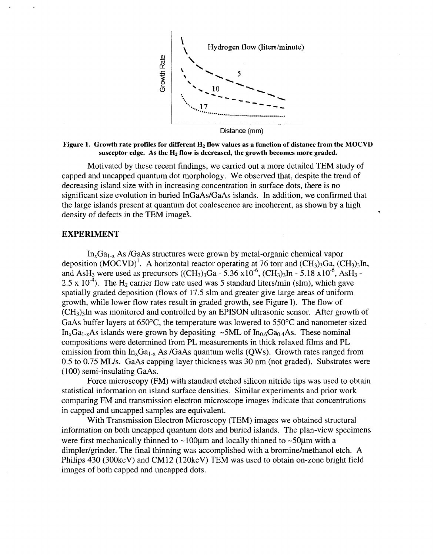

#### Figure 1. Growth rate profiles for different H<sub>2</sub> flow values as a function of distance from the MOCVD susceptor edge. As the H<sub>2</sub> flow is decreased, the growth becomes more graded.

Motivated by these recent findings, we carried out a more detailed TEM study of capped and uncapped quantum dot morphology. We observed that, despite the trend of decreasing island size with in increasing concentration in surface dots, there is no significant size evolution in buried InGaAs/GaAs islands. In addition, we confirmed that the large islands present at quantum dot coalescence are incoherent, as shown by a high density of defects in the TEM images.

### **EXPERIMENT**

 $In_xGa_{1-x}$  As /GaAs structures were grown by metal-organic chemical vapor deposition  $(MOCVD)^1$ . A horizontal reactor operating at 76 torr and  $(CH_3)_3Ga$ ,  $(CH_3)_3In$ , and AsH<sub>3</sub> were used as precursors ((CH<sub>3</sub>)<sub>3</sub>Ga - 5.36 x $10^{-6}$ , (CH<sub>3</sub>)<sub>3</sub>In - 5.18 x $10^{-6}$ , AsH<sub>3</sub> -2.5 x 10<sup>-4</sup>). The H<sub>2</sub> carrier flow rate used was 5 standard liters/min (slm), which gave spatially graded deposition (flows of 17.5 slm and greater give large areas of uniform growth, while lower flow rates result in graded growth, see Figure 1). The flow of  $(CH<sub>3</sub>)<sub>3</sub>$ In was monitored and controlled by an EPISON ultrasonic sensor. After growth of GaAs buffer layers at 650"C, the temperature was lowered to 550°C and nanometer sized  $In_xGa_{1-x}As$  islands were grown by depositing ~5ML of  $In_{0.6}Ga_{0.4}As$ . These nominal compositions were determined from PL measurements in thick relaxed films and PL emission from thin  $In_xGa_{1-x}$  As /GaAs quantum wells (QWs). Growth rates ranged from 0.5 to 0.75 MUS. GaAs capping layer thickness was 30 nm (not graded). Substrates were (100) semi-insulating GaAs.

Force microscopy (FM) with standard etched silicon nitride tips was used to obtain statistical information on island surface densities. Similar experiments and prior work comparing FM and transmission electron microscope images indicate that concentrations in capped and uncapped samples are equivalent.

information on both uncapped quantum dots and buried islands. The plan-view specimens were first mechanically thinned to  $\sim$ 100 $\mu$ m and locally thinned to  $\sim$ 50 $\mu$ m with a dimpler/grinder. The final thinning was accomplished with a bromine/methanol etch. A Philips 430 (300keV) and CM12 (120keV) TEM was used to obtain on-zone bright field images of both capped and uncapped dots. With Transmission Electron Microscopy (TEM) images we obtained structural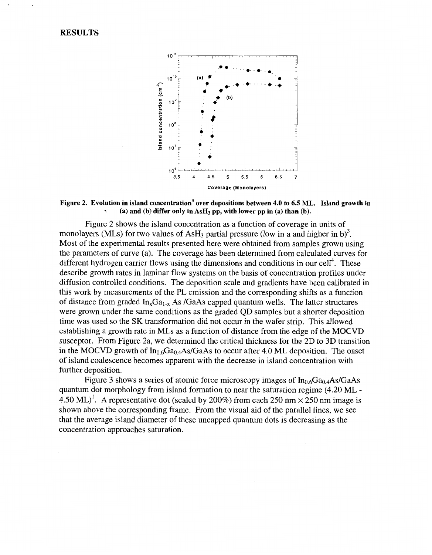## **RESULTS**



Figure 2. Evolution in island concentration<sup>3</sup> over depositions between 4.0 to 6.5 ML. Island growth in (a) and (b) differ only in AsH<sub>3</sub> pp, with lower pp in (a) than (b).

Figure 2 shows the island concentration as a function of coverage in units of monolayers (MLs) for two values of AsH<sub>3</sub> partial pressure (low in a and higher in b)<sup>3</sup>. Most of the experimental results presented here were obtained from samples grown using the parameters of curve (a). The coverage has been determined from calculated curves for different hydrogen carrier flows using the dimensions and conditions in our cell<sup>4</sup>. These describe growth rates in laminar flow systems on the basis of concentration profiles under diffusion controlled conditions. The deposition scale and gradients have been calibrated in this work by measurements of the PL emission and the corresponding shifts as a function of distance from graded  $In_xGa_{1-x}$  As /GaAs capped quantum wells. The latter structures were grown under the same conditions as the graded QD samples but a shorter deposition time was used so the SK transformation did not occur in the wafer strip. This allowed establishing a growth rate in MLs as a function of distance from the edge of the MOCVD susceptor. From Figure 2a, we determined the critical thickness for the 2D to 3D transition in the MOCVD growth of  $In_{0.6}Ga_{0.4}As/GaAs$  to occur after 4.0 ML deposition. The onset of island coalescence becomes apparent with the decrease in island concentration with further deposition.

Figure 3 shows a series of atomic force microscopy images of  $In<sub>0.6</sub>Ga<sub>0.4</sub>As/GaAs$ quantum dot morphology from island formation to near the saturation regime (4.20 ML - 4.50 ML)<sup>1</sup>. A representative dot (scaled by 200%) from each 250 nm  $\times$  250 nm image is shown above the corresponding frame. From the visual aid of the parallel lines, we see that the average island diameter of these uncapped quantum dots is decreasing as the concentration approaches saturation.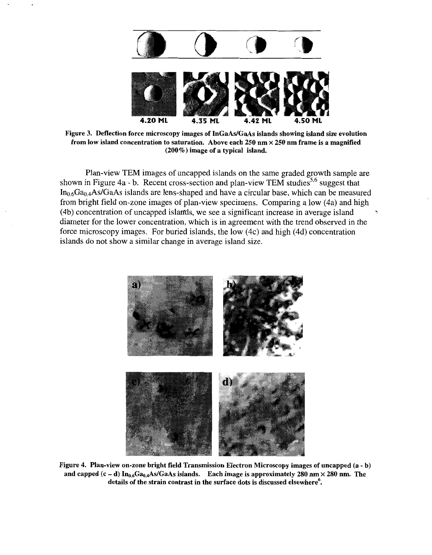

Figure 3. Deflection force microscopy images of InGaAs/GaAs islands showing island size evolution **from low island concentration to saturation. Above each 250 nm X 250 nm frame is a magnified (200%) image of a typical island.** 

Plan-view TEM images of uncapped islands on the same graded growth sample are shown in Figure 4a - b. Recent cross-section and plan-view TEM studies<sup>5,6</sup> suggest that  $In_{0.6}Ga_{0.4}As/GaAs$  islands are lens-shaped and have a circular base, which can be measured from bright field on-zone images of plan-view specimens. Comparing a low (4a) and high (4b) concentration of uncapped islands, we see a significant increase in average island diameter for the lower concentration, which is in agreement with the trend observed in the force microscopy images. For buried islands, the low (4c) and high (4d) concentration islands do not show a similar change in average island size.



**Figure 4. Plan-view on-zone bright field Transmission Electron Microscopy images of uncapped (a** - **b)**  and capped  $(c - d)$  In<sub>0.6</sub>Ga<sub>0.4</sub>As/GaAs islands. Each image is approximately 280 nm  $\times$  280 nm. The **details of the strain contrast in the surface dots is discussed elsewhere'.**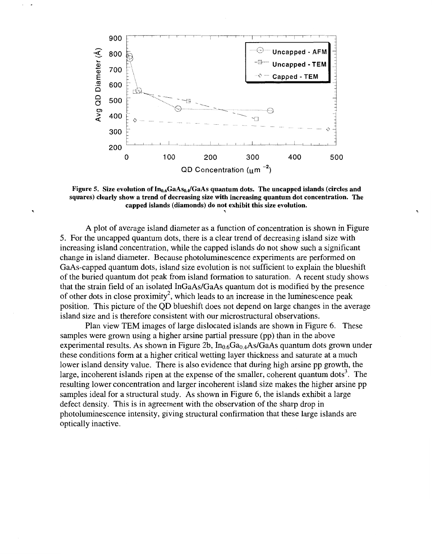

Figure 5. Size evolution of In<sub>0.6</sub>GaAs<sub>0.4</sub>/GaAs quantum dots. The uncapped islands (circles and **squares) clearly show a trend of decreasing size with increasing quantum dot concentration. The**  capped islands (diamonds) do not exhibit this size evolution.

A plot of average island diameter as a function of concentration is shown in Figure 5. For the uncapped quantum dots, there is a clear trend of decreasing island size with increasing island concentration, while the capped islands do not show such a significant change in island diameter. Because photoluminescence experiments are performed on GaAs-capped quantum dots, island size evolution is not sufficient to explain the blueshift of the buried quantum dot peak from island formation to saturation. A recent study shows that the strain field of an isolated InGaAs/GaAs quantum dot is modified by the presence of other dots in close proximity<sup>2</sup>, which leads to an increase in the luminescence peak position. This picture of the QD blueshift does not depend on large changes in the average island size and is therefore consistent with our microstructural observations.

samples were grown using a higher arsine partial pressure (pp) than in the above experimental results. As shown in Figure 2b,  $In_{0.6}Ga_{0.4}As/GaAs$  quantum dots grown under these conditions form at a higher critical wetting layer thickness and saturate at a much lower island density value. There is also evidence that during high arsine pp growth, the large, incoherent islands ripen at the expense of the smaller, coherent quantum dots<sup>3</sup>. The resulting lower concentration and larger incoherent island size makes the higher arsine pp samples ideal for a structural study. As shown in Figure 6, the islands exhibit a large defect density. This is in agreement with the observation of the sharp drop in photoluminescence intensity, giving structural confirmation that these large islands are optically inactive. Plan view TEM images of large dislocated islands are shown in [Figure](#page-5-0) **6.** These